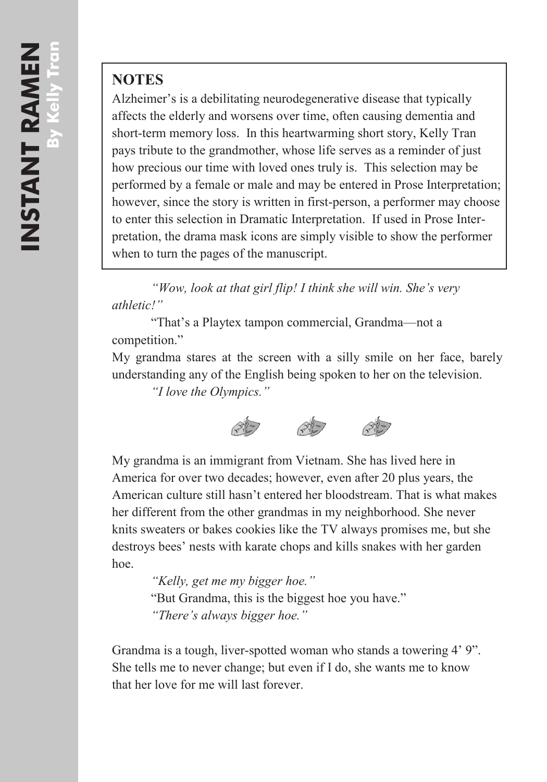## **NOTES**

Alzheimer's is a debilitating neurodegenerative disease that typically affects the elderly and worsens over time, often causing dementia and short-term memory loss. In this heartwarming short story, Kelly Tran pays tribute to the grandmother, whose life serves as a reminder of just how precious our time with loved ones truly is. This selection may be performed by a female or male and may be entered in Prose Interpretation; however, since the story is written in first-person, a performer may choose to enter this selection in Dramatic Interpretation. If used in Prose Interpretation, the drama mask icons are simply visible to show the performer when to turn the pages of the manuscript.

*"Wow, look at that girl flip! I think she will win. She's very athletic!"*

"That's a Playtex tampon commercial, Grandma—not a competition."

My grandma stares at the screen with a silly smile on her face, barely understanding any of the English being spoken to her on the television.

*"I love the Olympics."* 



My grandma is an immigrant from Vietnam. She has lived here in America for over two decades; however, even after 20 plus years, the American culture still hasn't entered her bloodstream. That is what makes her different from the other grandmas in my neighborhood. She never knits sweaters or bakes cookies like the TV always promises me, but she destroys bees' nests with karate chops and kills snakes with her garden hoe.

> *"Kelly, get me my bigger hoe."* "But Grandma, this is the biggest hoe you have." *"There's always bigger hoe."*

Grandma is a tough, liver-spotted woman who stands a towering 4' 9". She tells me to never change; but even if I do, she wants me to know that her love for me will last forever.